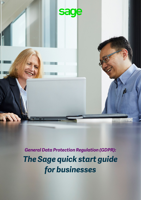

*General Data Protection Regulation (GDPR): The Sage quick start guide for businesses*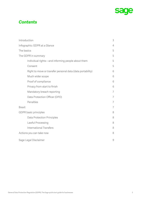

## *Contents*

| Introduction                                               | 3              |
|------------------------------------------------------------|----------------|
| Infographic: GDPR at a Glance                              | $\overline{4}$ |
| The basics                                                 | 5              |
| The GDPR in summary                                        | 5              |
| Individual rights—and informing people about them          | 5              |
| Consent                                                    | 5              |
| Right to move or transfer personal data (data portability) | 6              |
| Much wider scope                                           | 6              |
| Proof of compliance                                        | 6              |
| Privacy from start to finish                               | 6              |
| Mandatory breach reporting                                 | 7              |
| Data Protection Officer (DPO)                              | 7              |
| Penalties                                                  | 7              |
| <b>Brexit</b>                                              | 7              |
| GDPR basic principles                                      | 8              |
| <b>Data Protection Principles</b>                          | 8              |
| Lawful Processing                                          | 8              |
| <b>International Transfers</b>                             | 8              |
| Actions you can take now                                   | 8              |
| Sage Legal Disclaimer                                      | $\mathcal{G}$  |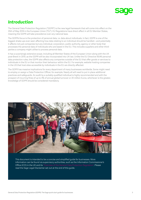# <span id="page-2-0"></span>*Introduction*

The General Data Protection Regulation ("GDPR") is the new legal framework that will come into effect on the 25th of May 2018 in the European Union ("EU"). EU Regulations have direct effect in all EU Member States, meaning the GDPR will take precedence over any national laws.

The GDPR's focus is the protection of personal data, i.e. data about individuals. In fact, GDPR is one of the biggest shake-ups ever seen affecting how data relating to an individual should be handled—and potentially it affects not just companies but any individual, corporation, public authority, agency or other body that processes the personal data of individuals who are based in the EU. This includes suppliers and other thirdparties a company might utilise to process personal data.

It has a surprisingly extensive scope, including all Member States of the European Union along with the UK post-Brexit in 2019, as the GDPR will be also incorporated into UK law. Unlike the EU Directive 95/46 personal data protection rules, the GDPR also affects any companies outside of the EU that offer goods or services to individuals in the EU or that monitor their behaviour within the EU. For example, website hosting companies in the US that host sites accessible by individuals in the EU are directly affected.

The GDPR has massive implications for every department of many businesses worldwide. Some might need to employ or assign a Data Protection Officer, for example. Nearly all will need to put in place additional practices and safeguards. An audit by a suitably-qualified individual is highly recommended and with the prospect of incurring fines of up to 4% of annual global turnover or 20 million Euros, whichever is the greater, knowledge of GDPR should be considered mandatory.



This document is intended to be a concise and simplified guide for businesses. More information can be found via supervisory authorities, such as the Information Commissioner's Office (ICO) in the UK and its ["Overview of the General Data Protection Regulation"](https://ico.org.uk/for-organisations/data-protection-reform/overview-of-the-gdpr/). Please read the Sage Legal Disclaimer set out at the end of this guide.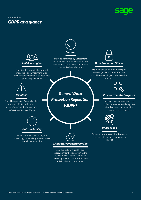

### <span id="page-3-0"></span>*Infographic: GDPR at a glance*

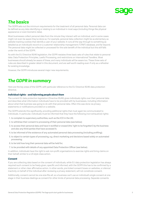

## <span id="page-4-0"></span>*The basics*

The GDPR sets out the minimum requirements for the treatment of all personal data. Personal data can be defined as any data identifying or relating to an individual in most ways (including things like physical appearance or even biometric data).

Most businesses collect personal data from the minute they interact with an individual, and in some cases might not even be aware they've done so. For example, personal data collection might be as elementary as website tracking cookies that identify a user of your website. It runs all the way through to something as detailed as an individual's record on a customer relationship management ("CRM") database, and far beyond. The personal data might be collected or processed for the sole benefit of the individual but this still falls under the remit of the GDPR.

As with the EU Directive 95/46 legislation, the GDPR restates three basic sets of rules that relate to personal data: Data Protection Principles, Lawful Processing, and restrictions on International Transfers. Most businesses should already be aware of these, and many individuals will be aware too. These three sets of rules are described in greater detail in this document, and are well worth reading even if only as a refresher for existing knowledge.

However, the GDPR introduces several major new requirements.

## *The GDPR in summary*

Here are the key areas of the GDPR, with particular reference to the EU Directive 95/46 data protection directive.

#### *Individual rights—and informing people about them*

The current EU data protection legislation (Directive 95/46) gives individuals rights over their personal data and describes what information individuals have to be provided with by businesses, including information about what that business was going to do with that personal data. Often this was done via privacy statements or notifications provided on a website.

The GDPR extends this significantly, providing additional rights that must again be communicated to individuals. In particular, individuals must be informed that they have the following (non-exhaustive) rights:

- 1. to complain to supervisory authorities, such as the ICO in the UK;
- 2. to withdraw their consent to processing of their personal data (see below);
- 3. to access their personal data and have it rectified or erased (the 'right to be forgotten') by the business and also any third-parties that have accessed it;
- 4. to be informed of the existence of any automated personal data processing (including profiling);
- 5. to object to certain types of processing, e.g. direct marketing and decisions based solely on automated processing;
- 6. to be told how long their personal data will be held for;
- 7. to be provided with details of any appointed Data Protection Officer (see below).

In addition, individuals have the right to ask non-profit organisations to exercise rights and bring claims on their behalf, similar to a US style class action.

#### *Consent*

If you are collecting data based on the consent of individuals, while EU data protection legislation has always required such consent to be freely-given, specific and informed, with the GDPR this has to be confirmed by a statement or other clear affirmative action. In other words, pre-ticked consent boxes on websites, or silence/ inactivity on behalf of the individual after reviewing a privacy statement, will not constitute consent.

Additionally, consent cannot be one-size-fits-all, so a business can't use an individual's single consent at one stage in their business dealings as consent for other kinds of personal data processing. Separate consents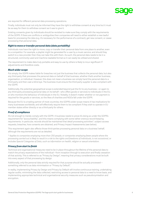

<span id="page-5-0"></span>are required for different personal data processing operations.

Finally, individuals must not only be informed they have the right to withdraw consent at any time but it must be as easy for them to withdraw consent as it was to give it.

Existing consents given by individuals should be revisited to make sure they comply with the requirements of the GDPR. If there are conflicts or ambiguities then companies will need to either establish a new lawful basis for processing the data (e.g. it's necessary for the performance of a contract), get new consent, or cease processing that personal data.

#### *Right to move or transfer personal data (data portability)*

Individuals now have the right to move, copy or transfer their personal data from one place to another, even to a competitor. For example, a playlist might be generated for a user by a music service, and should they switch to a new provider then they can take this with them. As such, the personal data needs to be in a structured, commonly-used and machine-readable format so it can easily be utilised and shared.

The requirement to make data truly portable and easy-to-use by others is likely to incur significant IT adjustments and therefore costs.

#### *Much wider scope*

Put simply, the GDPR makes liable for breaches not just the business that collects the personal data, but also any third-party that processes the personal data on behalf of that business, whether that's another business, organisation, or individual. However, this does not mean a business can simply hand the personal data to a third-party and then cast a blind eye. The business must ensure the third-party supplier is also compliant with the GDPR.

Additionally, the potential geographical scope is extended beyond just the EU to any business—or again to any third-party processing personal data on its behalf—who offers goods or services to individuals in the EU, or who monitors the behaviour of individuals in the EU. Notably, it doesn't matter whether or not payment is required for the goods or services, so the likes of charities and NGOs fall under the GDPR.

Because the EU is a trading partner of most countries, the GDPR's wider scope means it has implications for many businesses worldwide, and will effectively require them to be compliant if they wish to operate in EU member states either directly or as a third-party for others.

#### *Proof of compliance*

It's not enough to merely comply with the GDPR. A business needs to prove it's doing so under the GDPR's requirement for "accountability", and this means complying with some rather onerous record-keeping requirements. In particular, records should be maintained that detail processing activities\*, subject access requests, breaches, how consents are obtained, and Privacy Impact Assessments (see below).

This requirement again also affects those third-parties processing personal data on a business' behalf, although the requirements are not as detailed.

*\* Applies to companies employing more than 250 people, or companies employing fewer people where the processing carried out is likely to result in a risk to the rights and freedoms of individuals, is not occasional, or includes Special Categories of Data, such as information on health, religion or sexual orientation.*

#### *Privacy from start to finish*

Technical and organisational measures need to be in place throughout the lifetime of the personal data to match the privacy expectations of the individual—from inception through to execution and finally cessation of that activity. This is referred to as "Privacy by Design", meaning that privacy considerations must be built into every aspect of that processing by design.

Additionally, only the personal data strictly required for that purpose should be actually processed something referred to as data minimisation or "Privacy by Default".

In reality, implementing Privacy by Design and Privacy by Default will involve continuous training, undertaking regular audits, minimising the data collected, restricting access to personal data to a need to know basis, and implementing appropriate technical and organisational security measures such as pseudonymisation and encryption.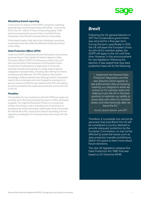

#### <span id="page-6-0"></span>*Mandatory breach reporting*

In the event of a breach of the GDPR, companies collecting personal data must tell supervisory authorities—such as the ICO in the UK—within 72 hours of becoming aware. Thirdparties processing the personal data on behalf of those companies must tell that business without undue delay.

If the breach poses a high risk to the individuals concerned, companies must also notify the affected individuals without undue delay.

#### *Data Protection Officer (DPO)*

Under the GDPR companies and any third-parties that process personal data on their behalf will need to appoint a Data Protection Officer ("DPO") if: (i) they are a public body; (ii) if the core activities of the business or third-parties involve monitoring of individuals on a large scale; or if the core activities consist of processing on a large scale of special categories of personal data, including data relating to criminal convictions and offences. The DPO needs to have expert knowledge of data protection law, although doesn't necessarily need to be an employee and could instead be employed on a service contact to fulfil the role. Details of the DPO will need to be communicated to the supervisory authority, such as the ICO in the UK.

#### *Penalties*

The penalties for non-compliance with the GDPR are tough and could be up to 4% of annual global turnover, or €20m, whichever is greater. You might be fined even if there is no actual loss of data. One thing to note is that there are no exclusions or exceptions for small businesses. Additionally, there is the ability for individuals to file a class action lawsuit requesting a formal regulatory investigation if a business does not comply with the GDPR.

### *Brexit*

Following the UK general election in 2017 the Conservative government was returned for a five-year term. During this term, specifically in 2019, the UK will leave the European Union. As with all EU member states, the GDPR will apply to the UK until that time. However, in the announcement for new legislation following the election it was stated that new data protection laws will do the following:

*"… implement the General Data Protection Regulation and the new Directive which applies to law enforcement data processing, meeting our obligations while we remain an EU member state and helping to put the UK in the best position to maintain our ability to share data with other EU member states and internationally after we leave the EU."* 

*Source: Queen's Speech, June 2017*

Therefore, it is possible, but cannot be assumed, that post-Brexit the UK will be considered a country deemed to provide 'adequate' protection by the European Commission, so may not be affected by potential issues such as data protection transfer prohibitions. Watch this space to learn more about future decisions.

The new UK legislation replaces the Data Protection Act 1998, that was based on EU Directive 95/46.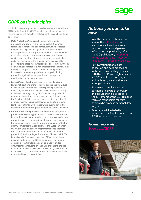

# <span id="page-7-0"></span>*GDPR basic principles*

In addition to new requirements detailed earlier, and as with the EU Directive 95/46, the GDPR restates three basic sets of rules relating to personal data. In simple terms these can be outlined as follows:

- *• Data Protection Principles:* Personal data must be processed lawfully, fairly and in a transparent manner in relation to the individual concerned. It must be collected for specified, explicit and legitimate purposes and not further processed in a way incompatible with this. Personal data collected must be adequate, relevant and limited to what's necessary. It must be accurate and kept up to date, and every reasonable step must be taken to ensure that personal data that's inaccurate is erased or rectified without delay. It must be stored in a way that identifies the individual for only so long as it's needed, and it must be processed in a way that ensures appropriate security—including protection against loss, destruction, or damage, and unauthorised or unlawful access.
- *• Lawful Processing:* Processing of personal data is only lawful if at least one of the following applies: the individual has given consent for one or more specific purposes; it's necessary for a contract to which the individual is a party, or will soon be; a legal obligation must be complied with (e.g. submission of tax records by a business); there's a task that's in the public interest or is carried out in the interest of official authority; it's necessary for legitimate interests (or those of a third party) except where overridden by the interests, fundamental rights and freedoms of the individual.
- *• International Transfers:* The GDPR continues the general prohibition on sending personal data outside the European Economic Area to a country that does not provide adequate protection. At the time of writing, the countries deemed by the European Commission to provide "adequate" protection are: US companies that self-certify to the European Union-US Privacy Shield arrangement (note: this does not mean the US as a country is considered to provide adequate protection), Andorra, Argentina, Canada (limited to PIPEDA), Faroe Islands, Guernsey, Israel, Isle of Man, Jersey, New Zealand, Switzerland, and Uruguay. Where no adequacy decision exists, transfers can only be made in limited circumstances, including on the basis of consent, the use of standard contractual clauses published by the European Commission or, in the case of inter-company transfers, the use of Binding Corporate Rules.

### *Actions you can take now*

- Visit the data protection reform area of the [ICO website](https://ico.org.uk/for-organisations/data-protection-reform/) to learn more, where there are a handful of guides and general information. In particular, refer to the ICO publication, "Preparing
- Review your personal data collection and data processing systems to ensure they're in line with the GDPR. You might consider a GDPR audit from both legal and technological standpoints, amongst others.
- Ensure your employees and partners are aware of the GDPR and secure training to prepare them. Remember the GDPR makes you also responsible for third parties who process personal data for you.
- Seek legal advice to better understand the implications of the GDPR on your businesses.

*To learn more, visit: [Sage.com/](http://go.sage.com/SageGeneralDataProtectionRegulation)GDPR*

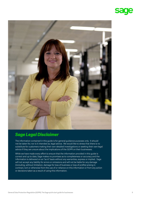

<span id="page-8-0"></span>

# *Sage Legal Disclaimer*

The information contained in this guide is for general guidance purposes only. It should not be taken for, nor is it intended as, legal advice. We would like to stress that there is no substitute for customers making their own detailed investigations or seeking their own legal advice if they are unsure about the implications of the GDPR on their businesses.

While we have made every effort to ensure that the information provided in this guide is correct and up to date, Sage makes no promises as to completeness or accuracy and the information is delivered on an "as is" basis without any warranties, express or implied. Sage will not accept any liability for errors or omissions and will not be liable for any damage (including, without limitation, damage for loss of business or loss of profits) arising in contract, tort or otherwise from the use of or reliance on this information or from any action or decisions taken as a result of using this information.